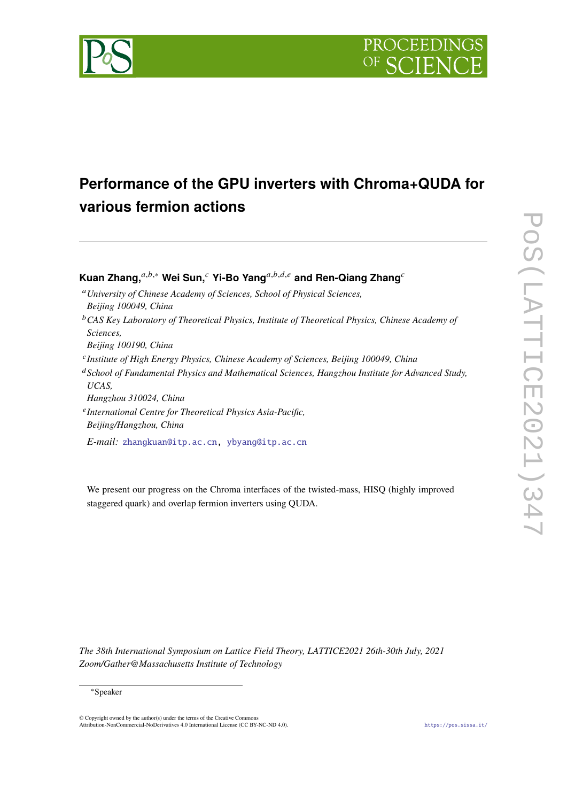

# **Performance of the GPU inverters with Chroma+QUDA for various fermion actions**

**Kuan Zhang,**<sup>a,b,∗</sup> Wei Sun,<sup>*c*</sup> Yi-Bo Yang<sup>a,b,d,e</sup> and Ren-Qiang Zhang<sup>*c*</sup>

- *University of Chinese Academy of Sciences, School of Physical Sciences,*
- *Beijing 100049, China*
- *CAS Key Laboratory of Theoretical Physics, Institute of Theoretical Physics, Chinese Academy of Sciences,*
- *Beijing 100190, China*
- *Institute of High Energy Physics, Chinese Academy of Sciences, Beijing 100049, China*
- *School of Fundamental Physics and Mathematical Sciences, Hangzhou Institute for Advanced Study, UCAS,*
- *Hangzhou 310024, China*
- *International Centre for Theoretical Physics Asia-Pacific, Beijing/Hangzhou, China*

*E-mail:* [zhangkuan@itp.ac.cn,](mailto:zhangkuan@itp.ac.cn) [ybyang@itp.ac.cn](mailto:ybyang@itp.ac.cn)

We present our progress on the Chroma interfaces of the twisted-mass, HISQ (highly improved staggered quark) and overlap fermion inverters using QUDA.

*The 38th International Symposium on Lattice Field Theory, LATTICE2021 26th-30th July, 2021 Zoom/Gather@Massachusetts Institute of Technology*

<sup>∗</sup>Speaker

<sup>©</sup> Copyright owned by the author(s) under the terms of the Creative Commons Attribution-NonCommercial-NoDerivatives 4.0 International License (CC BY-NC-ND 4.0). <https://pos.sissa.it/>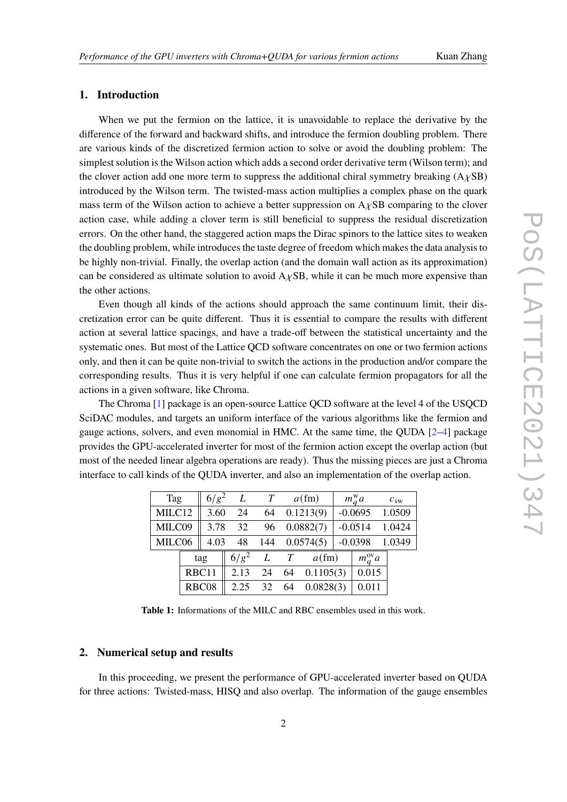# **1. Introduction**

When we put the fermion on the lattice, it is unavoidable to replace the derivative by the difference of the forward and backward shifts, and introduce the fermion doubling problem. There are various kinds of the discretized fermion action to solve or avoid the doubling problem: The simplest solution is the Wilson action which adds a second order derivative term (Wilson term); and the clover action add one more term to suppress the additional chiral symmetry breaking  $(A \chi SB)$ introduced by the Wilson term. The twisted-mass action multiplies a complex phase on the quark mass term of the Wilson action to achieve a better suppression on  $A<sub>Y</sub>SB$  comparing to the clover action case, while adding a clover term is still beneficial to suppress the residual discretization errors. On the other hand, the staggered action maps the Dirac spinors to the lattice sites to weaken the doubling problem, while introduces the taste degree of freedom which makes the data analysis to be highly non-trivial. Finally, the overlap action (and the domain wall action as its approximation) can be considered as ultimate solution to avoid  $A \chi SB$ , while it can be much more expensive than the other actions.

Even though all kinds of the actions should approach the same continuum limit, their discretization error can be quite different. Thus it is essential to compare the results with different action at several lattice spacings, and have a trade-off between the statistical uncertainty and the systematic ones. But most of the Lattice QCD software concentrates on one or two fermion actions only, and then it can be quite non-trivial to switch the actions in the production and/or compare the corresponding results. Thus it is very helpful if one can calculate fermion propagators for all the actions in a given software, like Chroma.

The Chroma [\[1\]](#page-7-0) package is an open-source Lattice QCD software at the level 4 of the USQCD SciDAC modules, and targets an uniform interface of the various algorithms like the fermion and gauge actions, solvers, and even monomial in HMC. At the same time, the QUDA [\[2](#page-7-1)[–4\]](#page-7-2) package provides the GPU-accelerated inverter for most of the fermion action except the overlap action (but most of the needed linear algebra operations are ready). Thus the missing pieces are just a Chroma interface to call kinds of the QUDA inverter, and also an implementation of the overlap action.

<span id="page-1-0"></span>

| Tag    |  | $6/g^2$ | L         | T |                       | $a$ (fm)     |  | $m_a^{\rm w}a$     | $c_{sw}$         |
|--------|--|---------|-----------|---|-----------------------|--------------|--|--------------------|------------------|
| MILC12 |  | 3.60    | 24        |   |                       | 64 0.1213(9) |  |                    | $-0.0695$ 1.0509 |
| MILC09 |  |         | 3.78 32   |   | 96 0.0882(7)          |              |  | $-0.0514$          | 1.0424           |
| MILC06 |  |         |           |   | 4.03 48 144 0.0574(5) |              |  | $-0.0398$          | 1.0349           |
|        |  | tag     | $6/g^2$   | L | T                     | $a$ (fm)     |  | $m_q^{\text{ov}}a$ |                  |
|        |  | RBC11   | $2.13$ 24 |   | 64                    | 0.1105(3)    |  | 0.015              |                  |
|        |  | RBC08   | $2.25$ 32 |   | 64                    | 0.0828(3)    |  | 0.011              |                  |

**Table 1:** Informations of the MILC and RBC ensembles used in this work.

# **2. Numerical setup and results**

In this proceeding, we present the performance of GPU-accelerated inverter based on QUDA for three actions: Twisted-mass, HISQ and also overlap. The information of the gauge ensembles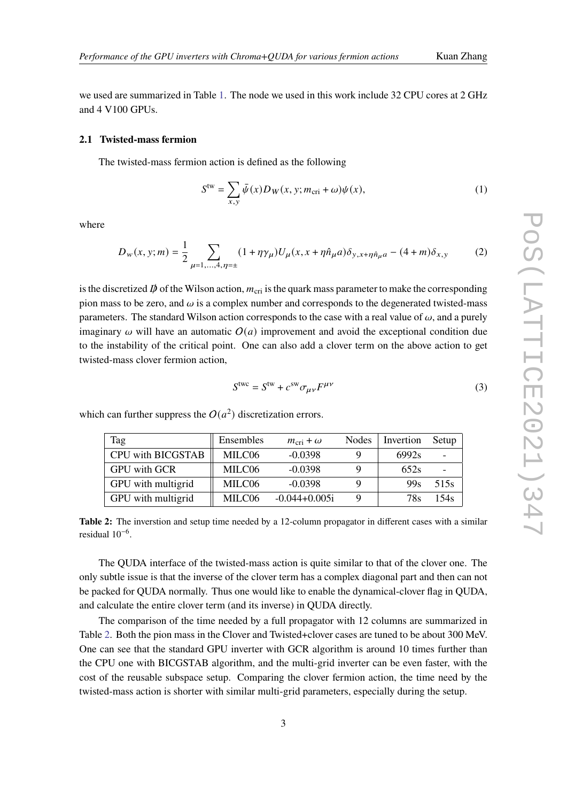we used are summarized in Table [1.](#page-1-0) The node we used in this work include 32 CPU cores at 2 GHz and 4 V100 GPUs.

### **2.1 Twisted-mass fermion**

The twisted-mass fermion action is defined as the following

$$
Stw = \sum_{x,y} \bar{\psi}(x) D_W(x, y; m_{\rm cri} + \omega) \psi(x),
$$
 (1)

where

$$
D_{w}(x, y; m) = \frac{1}{2} \sum_{\mu=1,\dots,4,\eta=\pm} (1 + \eta \gamma_{\mu}) U_{\mu}(x, x + \eta \hat{n}_{\mu} a) \delta_{y, x + \eta \hat{n}_{\mu} a} - (4 + m) \delta_{x, y}
$$
(2)

is the discretized  $\vec{p}$  of the Wilson action,  $m_{\text{cri}}$  is the quark mass parameter to make the corresponding pion mass to be zero, and  $\omega$  is a complex number and corresponds to the degenerated twisted-mass parameters. The standard Wilson action corresponds to the case with a real value of  $\omega$ , and a purely imaginary  $\omega$  will have an automatic  $O(a)$  improvement and avoid the exceptional condition due to the instability of the critical point. One can also add a clover term on the above action to get twisted-mass clover fermion action,

$$
Stwo = Stw + csw \sigma_{\mu\nu} F^{\mu\nu}
$$
 (3)

| Tag                      | Ensembles | $m_{\rm cri}+\omega$ | <b>Nodes</b> | Invertion       | Setup |
|--------------------------|-----------|----------------------|--------------|-----------------|-------|
| <b>CPU with BICGSTAB</b> | MILC06    | $-0.0398$            |              | 6992s           |       |
| <b>GPU</b> with GCR      | MILC06    | $-0.0398$            |              | 652s            |       |
| GPU with multigrid       | MILC06    | $-0.0398$            |              | 99 <sub>S</sub> | 515s  |
| GPU with multigrid       | MILC06    | $-0.044 + 0.005i$    |              | 78s             | 154s  |

<span id="page-2-0"></span>which can further suppress the  $O(a^2)$  discretization errors.

**Table 2:** The inverstion and setup time needed by a 12-column propagator in different cases with a similar residual 10−<sup>6</sup> .

The QUDA interface of the twisted-mass action is quite similar to that of the clover one. The only subtle issue is that the inverse of the clover term has a complex diagonal part and then can not be packed for QUDA normally. Thus one would like to enable the dynamical-clover flag in QUDA, and calculate the entire clover term (and its inverse) in QUDA directly.

The comparison of the time needed by a full propagator with 12 columns are summarized in Table [2.](#page-2-0) Both the pion mass in the Clover and Twisted+clover cases are tuned to be about 300 MeV. One can see that the standard GPU inverter with GCR algorithm is around 10 times further than the CPU one with BICGSTAB algorithm, and the multi-grid inverter can be even faster, with the cost of the reusable subspace setup. Comparing the clover fermion action, the time need by the twisted-mass action is shorter with similar multi-grid parameters, especially during the setup.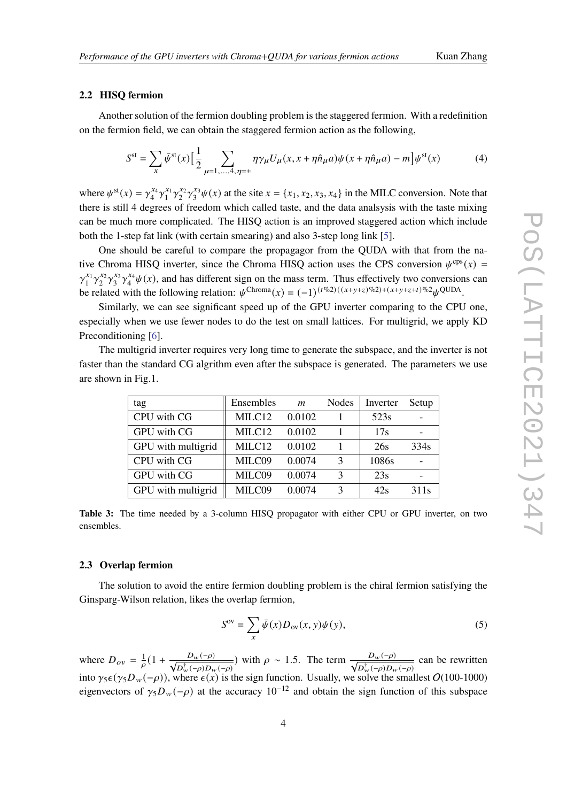### **2.2 HISQ fermion**

Another solution of the fermion doubling problem is the staggered fermion. With a redefinition on the fermion field, we can obtain the staggered fermion action as the following,

$$
S^{\text{st}} = \sum_{x} \bar{\psi}^{\text{st}}(x) \Big[ \frac{1}{2} \sum_{\mu=1,\dots,4,\eta=\pm} \eta \gamma_{\mu} U_{\mu}(x, x + \eta \hat{n}_{\mu} a) \psi(x + \eta \hat{n}_{\mu} a) - m \Big] \psi^{\text{st}}(x) \tag{4}
$$

where  $\psi^{\text{st}}(x) = \gamma_4^{x_4}$  $x_4^{x_4} \gamma_1^{x_1}$  $x_1^x \gamma_2^{x_2}$  $x_2^2 \gamma_3^{x_3}$  $x_3^{x_3}\psi(x)$  at the site  $x = \{x_1, x_2, x_3, x_4\}$  in the MILC conversion. Note that there is still 4 degrees of freedom which called taste, and the data analsysis with the taste mixing can be much more complicated. The HISQ action is an improved staggered action which include both the 1-step fat link (with certain smearing) and also 3-step long link [\[5\]](#page-7-3).

One should be careful to compare the propagagor from the QUDA with that from the native Chroma HISQ inverter, since the Chroma HISQ action uses the CPS conversion  $\psi^{cps}(x)$  =  $\gamma_1^{x_1}$  $x_1^x \gamma_2^{x_2}$  $\frac{x_2}{2}\gamma_3^{x_3}$  $x_3^2 \gamma_4^{x_4}$  $^{x_4}_{4}\psi(x)$ , and has different sign on the mass term. Thus effectively two conversions can be related with the following relation:  $\psi^{\text{Chroma}}(x) = (-1)^{(t\%2)((x+y+z)^{0/2})+(x+y+z+t)^{0/2}}\psi^{\text{QUDA}}$ .

Similarly, we can see significant speed up of the GPU inverter comparing to the CPU one, especially when we use fewer nodes to do the test on small lattices. For multigrid, we apply KD Preconditioning [\[6\]](#page-7-4).

The multigrid inverter requires very long time to generate the subspace, and the inverter is not faster than the standard CG algrithm even after the subspace is generated. The parameters we use are shown in Fig.1.

| tag                | Ensembles          | $\boldsymbol{m}$ | Nodes         | Inverter | Setup |
|--------------------|--------------------|------------------|---------------|----------|-------|
| CPU with CG        | MILC12             | 0.0102           |               | 523s     |       |
| GPU with CG        | MILC12             | 0.0102           |               | 17s      |       |
| GPU with multigrid | MILC12             | 0.0102           |               | 26s      | 334s  |
| CPU with CG        | MILC09             | 0.0074           | $\mathcal{F}$ | 1086s    |       |
| GPU with CG        | MILC09             | 0.0074           | $\mathcal{R}$ | 23s      |       |
| GPU with multigrid | MILC <sub>09</sub> | 0.0074           | 3             | 42s      | 311s  |

**Table 3:** The time needed by a 3-column HISQ propagator with either CPU or GPU inverter, on two ensembles.

### **2.3 Overlap fermion**

The solution to avoid the entire fermion doubling problem is the chiral fermion satisfying the Ginsparg-Wilson relation, likes the overlap fermion,

$$
S^{\text{ov}} = \sum_{x} \bar{\psi}(x) D_{\text{ov}}(x, y) \psi(y), \tag{5}
$$

where  $D_{ov} = \frac{1}{\rho} \left(1 + \frac{D_w(-\rho)}{\sqrt{D_w^{\dagger}(-\rho)D_w(-\rho)}}\right)$  with  $\rho \sim 1.5$ . The term  $\frac{D_w(-\rho)}{\sqrt{D_w^{\dagger}(-\rho)D_w(-\rho)}}$  can be rewritten into  $\gamma_5\epsilon(\gamma_5 D_w(-\rho))$ , where  $\epsilon(x)$  is the sign function. Usually, we solve the smallest O(100-1000) eigenvectors of  $\gamma_5 D_w(-\rho)$  at the accuracy  $10^{-12}$  and obtain the sign function of this subspace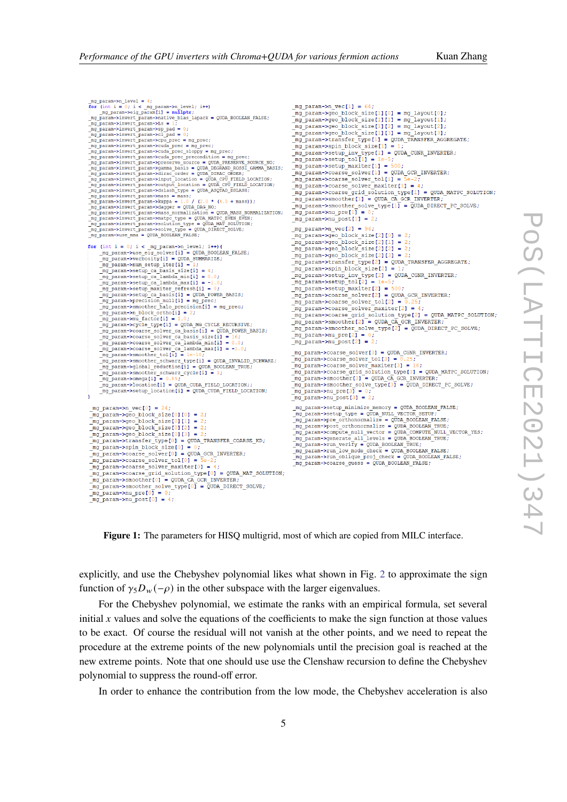

**Figure 1:** The parameters for HISQ multigrid, most of which are copied from MILC interface.

explicitly, and use the Chebyshev polynomial likes what shown in Fig. [2](#page-5-0) to approximate the sign function of  $\gamma_5 D_w(-\rho)$  in the other subspace with the larger eigenvalues.

For the Chebyshev polynomial, we estimate the ranks with an empirical formula, set several initial  $x$  values and solve the equations of the coefficients to make the sign function at those values to be exact. Of course the residual will not vanish at the other points, and we need to repeat the procedure at the extreme points of the new polynomials until the precision goal is reached at the new extreme points. Note that one should use use the Clenshaw recursion to define the Chebyshev polynomial to suppress the round-off error.

In order to enhance the contribution from the low mode, the Chebyshev acceleration is also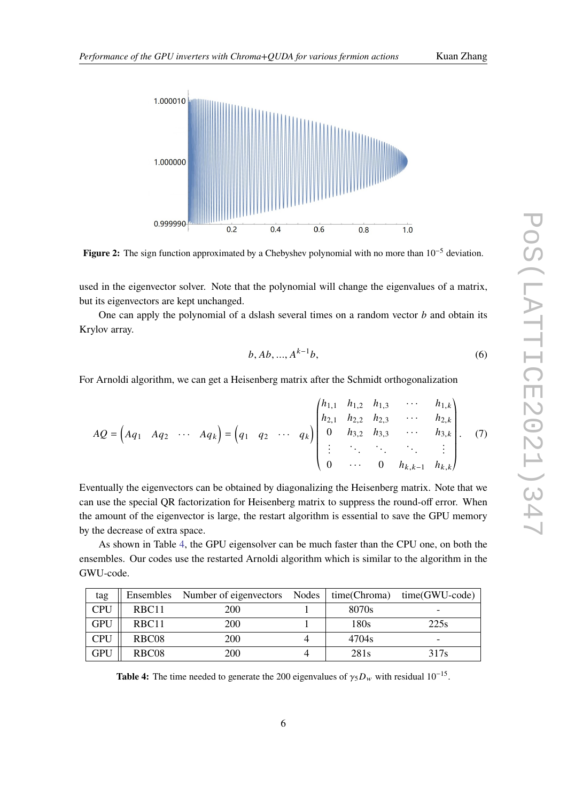<span id="page-5-0"></span>

**Figure 2:** The sign function approximated by a Chebyshev polynomial with no more than 10−<sup>5</sup> deviation.

used in the eigenvector solver. Note that the polynomial will change the eigenvalues of a matrix, but its eigenvectors are kept unchanged.

One can apply the polynomial of a dslash several times on a random vector  $b$  and obtain its Krylov array.

$$
b, Ab, ..., A^{k-1}b,
$$
\n(6)

For Arnoldi algorithm, we can get a Heisenberg matrix after the Schmidt orthogonalization

$$
AQ = \begin{pmatrix} Aq_1 & Aq_2 & \cdots & Aq_k \end{pmatrix} = \begin{pmatrix} q_1 & q_2 & \cdots & q_k \end{pmatrix} \begin{pmatrix} h_{1,1} & h_{1,2} & h_{1,3} & \cdots & h_{1,k} \\ h_{2,1} & h_{2,2} & h_{2,3} & \cdots & h_{2,k} \\ 0 & h_{3,2} & h_{3,3} & \cdots & h_{3,k} \\ \vdots & \ddots & \ddots & \ddots & \vdots \\ 0 & \cdots & 0 & h_{k,k-1} & h_{k,k} \end{pmatrix} . \tag{7}
$$

Eventually the eigenvectors can be obtained by diagonalizing the Heisenberg matrix. Note that we can use the special QR factorization for Heisenberg matrix to suppress the round-off error. When the amount of the eigenvector is large, the restart algorithm is essential to save the GPU memory by the decrease of extra space.

As shown in Table [4,](#page-5-1) the GPU eigensolver can be much faster than the CPU one, on both the ensembles. Our codes use the restarted Arnoldi algorithm which is similar to the algorithm in the GWU-code.

<span id="page-5-1"></span>

| tag        |                   | Ensembles Number of eigenvectors Nodes |       | $time(Chroma)$ $time(GWU-code)$ |
|------------|-------------------|----------------------------------------|-------|---------------------------------|
| CPU        | RBC <sub>11</sub> | 200                                    | 8070s |                                 |
| <b>GPU</b> | RBC11             | 200                                    | 180s  | 225s                            |
| <b>CPU</b> | RBC <sub>08</sub> | 200                                    | 4704s |                                 |
| <b>GPU</b> | RBC <sub>08</sub> | 200                                    | 281s  | 317s                            |

**Table 4:** The time needed to generate the 200 eigenvalues of  $\gamma_5 D_w$  with residual 10<sup>-15</sup>.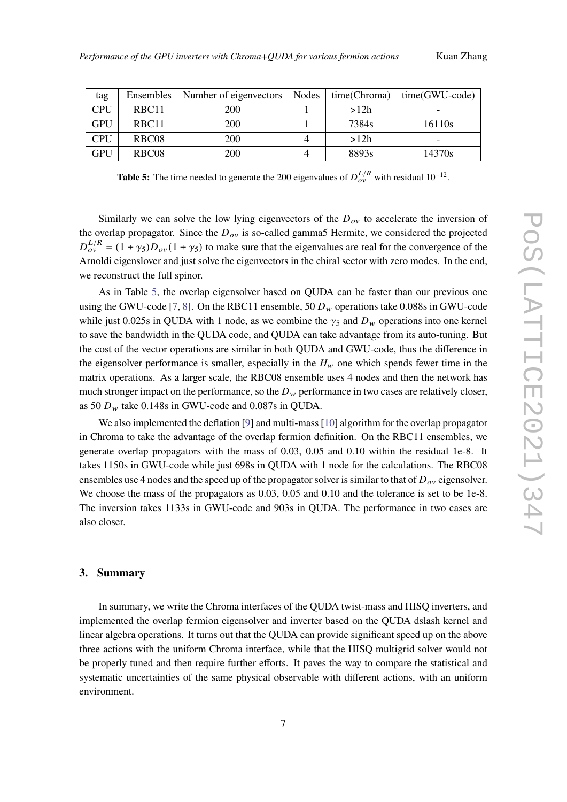| Kuan Zhang |
|------------|
|            |

<span id="page-6-0"></span>

| tag        | Ensembles         | Number of eigenvectors Nodes | time(Chroma) | time(GWU-code) |
|------------|-------------------|------------------------------|--------------|----------------|
| <b>CPU</b> | RBC <sub>11</sub> | 200                          | >12h         | -              |
| <b>GPU</b> | RBC <sub>11</sub> | 200                          | 7384s        | 16110s         |
| <b>CPU</b> | RBC <sub>08</sub> | 200                          | >12h         | -              |
| <b>GPU</b> | RBC <sub>08</sub> | 200                          | 8893s        | 14370s         |

**Table 5:** The time needed to generate the 200 eigenvalues of  $D_{ov}^{L/R}$  with residual 10<sup>-12</sup>.

Similarly we can solve the low lying eigenvectors of the  $D_{ov}$  to accelerate the inversion of the overlap propagator. Since the  $D_{ov}$  is so-called gamma5 Hermite, we considered the projected  $D_{ov}^{L/R} = (1 \pm \gamma_5) D_{ov} (1 \pm \gamma_5)$  to make sure that the eigenvalues are real for the convergence of the Arnoldi eigenslover and just solve the eigenvectors in the chiral sector with zero modes. In the end, we reconstruct the full spinor.

As in Table [5,](#page-6-0) the overlap eigensolver based on QUDA can be faster than our previous one using the GWU-code [\[7,](#page-7-5) [8\]](#page-7-6). On the RBC11 ensemble,  $50 D_w$  operations take 0.088s in GWU-code while just 0.025s in QUDA with 1 node, as we combine the  $\gamma_5$  and  $D_w$  operations into one kernel to save the bandwidth in the QUDA code, and QUDA can take advantage from its auto-tuning. But the cost of the vector operations are similar in both QUDA and GWU-code, thus the difference in the eigensolver performance is smaller, especially in the  $H<sub>w</sub>$  one which spends fewer time in the matrix operations. As a larger scale, the RBC08 ensemble uses 4 nodes and then the network has much stronger impact on the performance, so the  $D_w$  performance in two cases are relatively closer, as 50  $D_w$  take 0.148s in GWU-code and 0.087s in QUDA.

We also implemented the deflation [\[9\]](#page-7-7) and multi-mass [\[10\]](#page-7-8) algorithm for the overlap propagator in Chroma to take the advantage of the overlap fermion definition. On the RBC11 ensembles, we generate overlap propagators with the mass of 0.03, 0.05 and 0.10 within the residual 1e-8. It takes 1150s in GWU-code while just 698s in QUDA with 1 node for the calculations. The RBC08 ensembles use 4 nodes and the speed up of the propagator solver is similar to that of  $D_{\alpha\nu}$  eigensolver. We choose the mass of the propagators as  $0.03$ ,  $0.05$  and  $0.10$  and the tolerance is set to be 1e-8. The inversion takes 1133s in GWU-code and 903s in QUDA. The performance in two cases are also closer.

## **3. Summary**

In summary, we write the Chroma interfaces of the QUDA twist-mass and HISQ inverters, and implemented the overlap fermion eigensolver and inverter based on the QUDA dslash kernel and linear algebra operations. It turns out that the QUDA can provide significant speed up on the above three actions with the uniform Chroma interface, while that the HISQ multigrid solver would not be properly tuned and then require further efforts. It paves the way to compare the statistical and systematic uncertainties of the same physical observable with different actions, with an uniform environment.